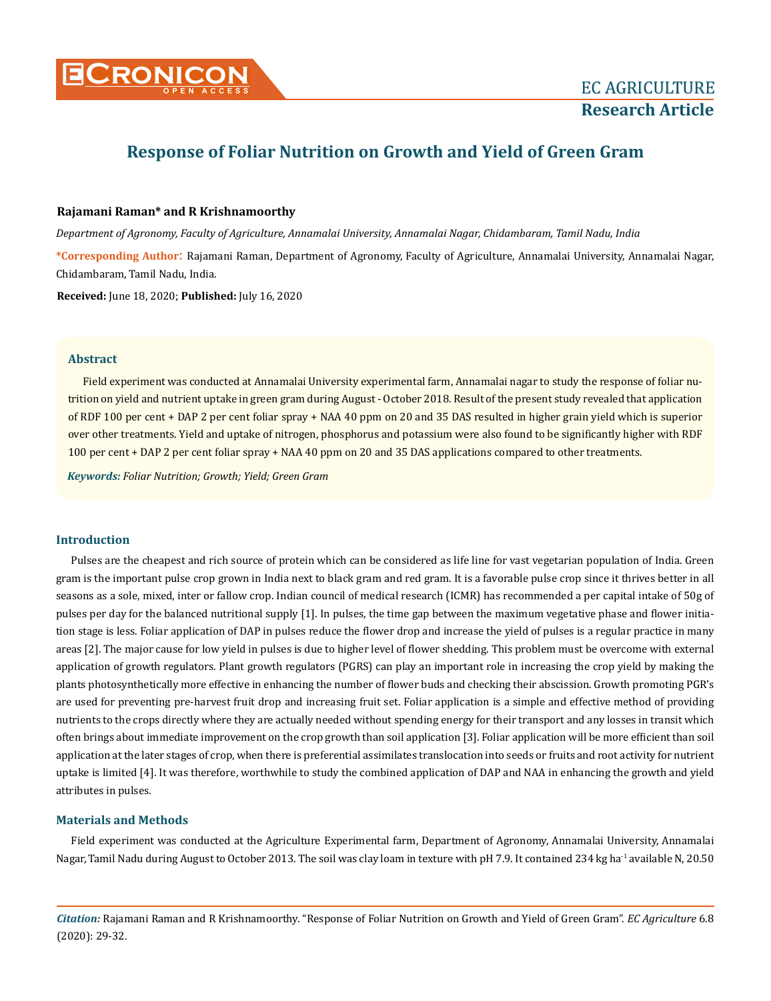

# **Response of Foliar Nutrition on Growth and Yield of Green Gram**

## **Rajamani Raman\* and R Krishnamoorthy**

*Department of Agronomy, Faculty of Agriculture, Annamalai University, Annamalai Nagar, Chidambaram, Tamil Nadu, India*

**\*Corresponding Author**: Rajamani Raman, Department of Agronomy, Faculty of Agriculture, Annamalai University, Annamalai Nagar, Chidambaram, Tamil Nadu, India.

**Received:** June 18, 2020; **Published:** July 16, 2020

#### **Abstract**

Field experiment was conducted at Annamalai University experimental farm, Annamalai nagar to study the response of foliar nutrition on yield and nutrient uptake in green gram during August - October 2018. Result of the present study revealed that application of RDF 100 per cent + DAP 2 per cent foliar spray + NAA 40 ppm on 20 and 35 DAS resulted in higher grain yield which is superior over other treatments. Yield and uptake of nitrogen, phosphorus and potassium were also found to be significantly higher with RDF 100 per cent + DAP 2 per cent foliar spray + NAA 40 ppm on 20 and 35 DAS applications compared to other treatments.

*Keywords: Foliar Nutrition; Growth; Yield; Green Gram*

#### **Introduction**

Pulses are the cheapest and rich source of protein which can be considered as life line for vast vegetarian population of India. Green gram is the important pulse crop grown in India next to black gram and red gram. It is a favorable pulse crop since it thrives better in all seasons as a sole, mixed, inter or fallow crop. Indian council of medical research (ICMR) has recommended a per capital intake of 50g of pulses per day for the balanced nutritional supply [1]. In pulses, the time gap between the maximum vegetative phase and flower initiation stage is less. Foliar application of DAP in pulses reduce the flower drop and increase the yield of pulses is a regular practice in many areas [2]. The major cause for low yield in pulses is due to higher level of flower shedding. This problem must be overcome with external application of growth regulators. Plant growth regulators (PGRS) can play an important role in increasing the crop yield by making the plants photosynthetically more effective in enhancing the number of flower buds and checking their abscission. Growth promoting PGR's are used for preventing pre-harvest fruit drop and increasing fruit set. Foliar application is a simple and effective method of providing nutrients to the crops directly where they are actually needed without spending energy for their transport and any losses in transit which often brings about immediate improvement on the crop growth than soil application [3]. Foliar application will be more efficient than soil application at the later stages of crop, when there is preferential assimilates translocation into seeds or fruits and root activity for nutrient uptake is limited [4]. It was therefore, worthwhile to study the combined application of DAP and NAA in enhancing the growth and yield attributes in pulses.

#### **Materials and Methods**

Field experiment was conducted at the Agriculture Experimental farm, Department of Agronomy, Annamalai University, Annamalai Nagar, Tamil Nadu during August to October 2013. The soil was clay loam in texture with pH 7.9. It contained 234 kg ha<sup>-1</sup> available N, 20.50

*Citation:* Rajamani Raman and R Krishnamoorthy. "Response of Foliar Nutrition on Growth and Yield of Green Gram". *EC Agriculture* 6.8 (2020): 29-32.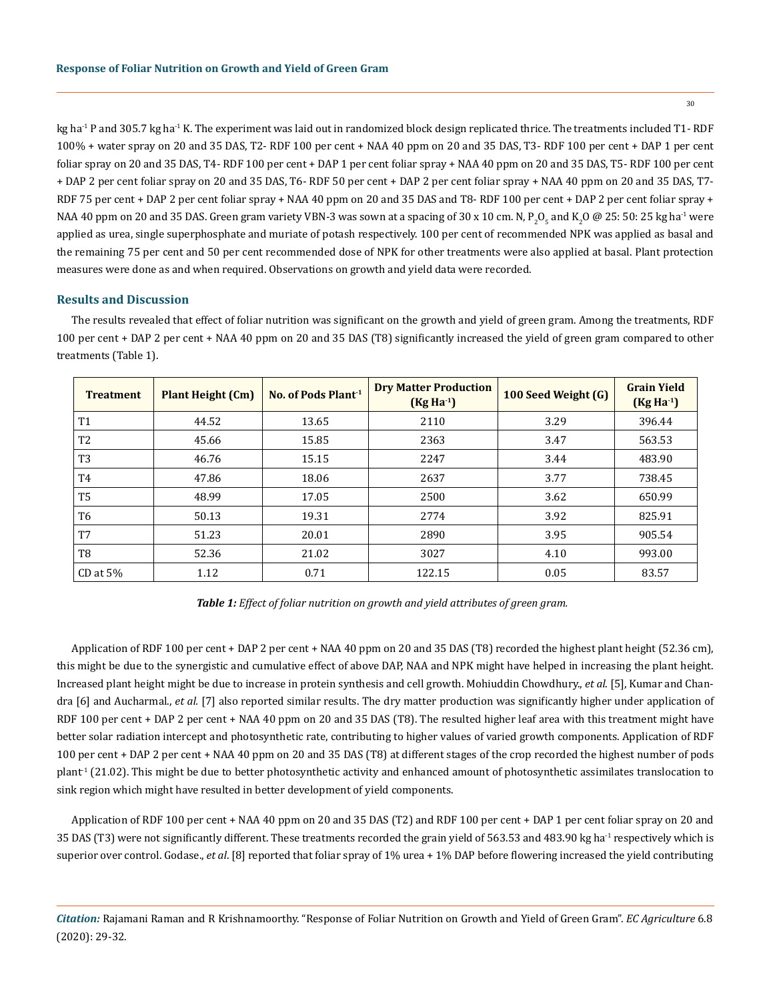kg ha<sup>-1</sup> P and 305.7 kg ha<sup>-1</sup> K. The experiment was laid out in randomized block design replicated thrice. The treatments included T1-RDF 100% + water spray on 20 and 35 DAS, T2- RDF 100 per cent + NAA 40 ppm on 20 and 35 DAS, T3- RDF 100 per cent + DAP 1 per cent foliar spray on 20 and 35 DAS, T4- RDF 100 per cent + DAP 1 per cent foliar spray + NAA 40 ppm on 20 and 35 DAS, T5- RDF 100 per cent + DAP 2 per cent foliar spray on 20 and 35 DAS, T6- RDF 50 per cent + DAP 2 per cent foliar spray + NAA 40 ppm on 20 and 35 DAS, T7- RDF 75 per cent + DAP 2 per cent foliar spray + NAA 40 ppm on 20 and 35 DAS and T8- RDF 100 per cent + DAP 2 per cent foliar spray + NAA 40 ppm on 20 and 35 DAS. Green gram variety VBN-3 was sown at a spacing of 30 x 10 cm. N,  $P_2O_5$  and K $_2$ O @ 25: 50: 25 kg ha $^{\text{-1}}$  were applied as urea, single superphosphate and muriate of potash respectively. 100 per cent of recommended NPK was applied as basal and the remaining 75 per cent and 50 per cent recommended dose of NPK for other treatments were also applied at basal. Plant protection measures were done as and when required. Observations on growth and yield data were recorded.

### **Results and Discussion**

The results revealed that effect of foliar nutrition was significant on the growth and yield of green gram. Among the treatments, RDF 100 per cent + DAP 2 per cent + NAA 40 ppm on 20 and 35 DAS (T8) significantly increased the yield of green gram compared to other treatments (Table 1).

| <b>Treatment</b> | <b>Plant Height (Cm)</b> | No. of Pods Plant <sup>1</sup> | <b>Dry Matter Production</b><br>$(Kg Ha-1)$ | 100 Seed Weight (G) | <b>Grain Yield</b><br>$(Kg Ha-1)$ |
|------------------|--------------------------|--------------------------------|---------------------------------------------|---------------------|-----------------------------------|
| T <sub>1</sub>   | 44.52                    | 13.65                          | 2110                                        | 3.29                | 396.44                            |
| T <sub>2</sub>   | 45.66                    | 15.85                          | 2363                                        | 3.47                | 563.53                            |
| T <sub>3</sub>   | 46.76                    | 15.15                          | 2247                                        | 3.44                | 483.90                            |
| T <sub>4</sub>   | 47.86                    | 18.06                          | 2637                                        | 3.77                | 738.45                            |
| T <sub>5</sub>   | 48.99                    | 17.05                          | 2500                                        | 3.62                | 650.99                            |
| T <sub>6</sub>   | 50.13                    | 19.31                          | 2774                                        | 3.92                | 825.91                            |
| T <sub>7</sub>   | 51.23                    | 20.01                          | 2890                                        | 3.95                | 905.54                            |
| T <sub>8</sub>   | 52.36                    | 21.02                          | 3027                                        | 4.10                | 993.00                            |
| $CD$ at $5%$     | 1.12                     | 0.71                           | 122.15                                      | 0.05                | 83.57                             |

*Table 1: Effect of foliar nutrition on growth and yield attributes of green gram.*

Application of RDF 100 per cent + DAP 2 per cent + NAA 40 ppm on 20 and 35 DAS (T8) recorded the highest plant height (52.36 cm), this might be due to the synergistic and cumulative effect of above DAP, NAA and NPK might have helped in increasing the plant height. Increased plant height might be due to increase in protein synthesis and cell growth. Mohiuddin Chowdhury., *et al*. [5], Kumar and Chandra [6] and Aucharmal., *et al.* [7] also reported similar results. The dry matter production was significantly higher under application of RDF 100 per cent + DAP 2 per cent + NAA 40 ppm on 20 and 35 DAS (T8). The resulted higher leaf area with this treatment might have better solar radiation intercept and photosynthetic rate, contributing to higher values of varied growth components. Application of RDF 100 per cent + DAP 2 per cent + NAA 40 ppm on 20 and 35 DAS (T8) at different stages of the crop recorded the highest number of pods plant<sup>-1</sup> (21.02). This might be due to better photosynthetic activity and enhanced amount of photosynthetic assimilates translocation to sink region which might have resulted in better development of yield components.

Application of RDF 100 per cent + NAA 40 ppm on 20 and 35 DAS (T2) and RDF 100 per cent + DAP 1 per cent foliar spray on 20 and 35 DAS (T3) were not significantly different. These treatments recorded the grain yield of 563.53 and 483.90 kg ha<sup>-1</sup> respectively which is superior over control. Godase., *et al*. [8] reported that foliar spray of 1% urea + 1% DAP before flowering increased the yield contributing

*Citation:* Rajamani Raman and R Krishnamoorthy. "Response of Foliar Nutrition on Growth and Yield of Green Gram". *EC Agriculture* 6.8 (2020): 29-32.

30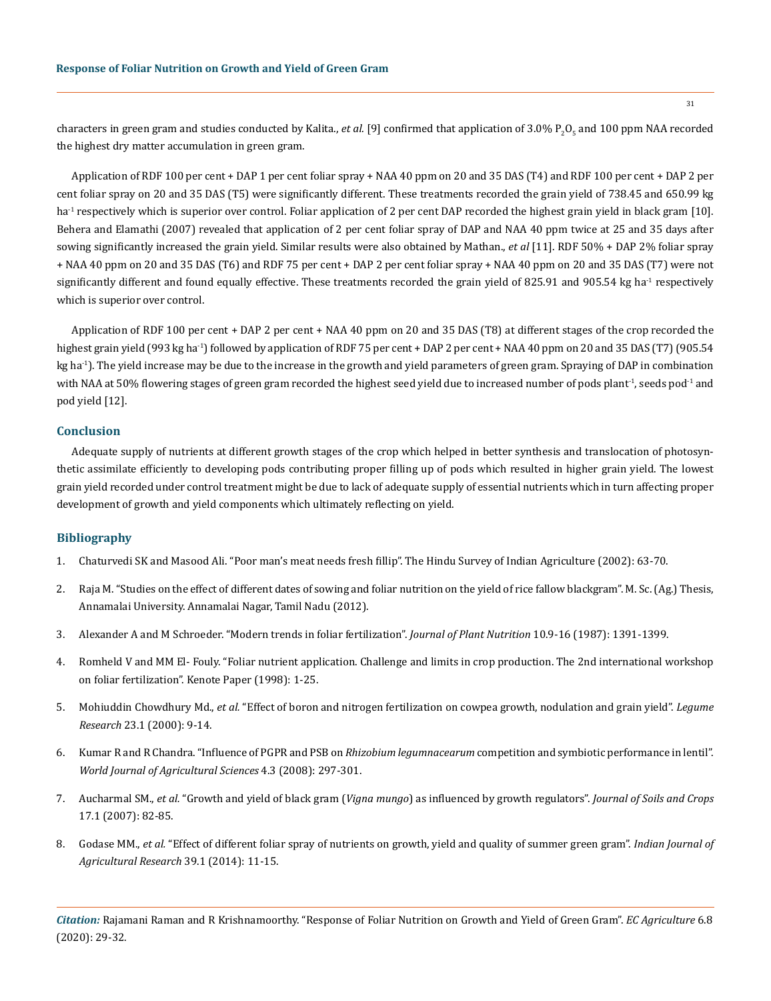characters in green gram and studies conducted by Kalita., *et al*. [9] confirmed that application of 3.0% P<sub>2</sub>O<sub>5</sub> and 100 ppm NAA recorded the highest dry matter accumulation in green gram.

Application of RDF 100 per cent + DAP 1 per cent foliar spray + NAA 40 ppm on 20 and 35 DAS (T4) and RDF 100 per cent + DAP 2 per cent foliar spray on 20 and 35 DAS (T5) were significantly different. These treatments recorded the grain yield of 738.45 and 650.99 kg ha<sup>-1</sup> respectively which is superior over control. Foliar application of 2 per cent DAP recorded the highest grain yield in black gram [10]. Behera and Elamathi (2007) revealed that application of 2 per cent foliar spray of DAP and NAA 40 ppm twice at 25 and 35 days after sowing significantly increased the grain yield. Similar results were also obtained by Mathan., *et al* [11]. RDF 50% + DAP 2% foliar spray + NAA 40 ppm on 20 and 35 DAS (T6) and RDF 75 per cent + DAP 2 per cent foliar spray + NAA 40 ppm on 20 and 35 DAS (T7) were not significantly different and found equally effective. These treatments recorded the grain yield of 825.91 and 905.54 kg ha<sup>-1</sup> respectively which is superior over control.

Application of RDF 100 per cent + DAP 2 per cent + NAA 40 ppm on 20 and 35 DAS (T8) at different stages of the crop recorded the highest grain yield (993 kg ha<sup>-1</sup>) followed by application of RDF 75 per cent + DAP 2 per cent + NAA 40 ppm on 20 and 35 DAS (T7) (905.54 kg ha<sup>-1</sup>). The yield increase may be due to the increase in the growth and yield parameters of green gram. Spraying of DAP in combination with NAA at 50% flowering stages of green gram recorded the highest seed yield due to increased number of pods plant<sup>1</sup>, seeds pod<sup>-1</sup> and pod yield [12].

# **Conclusion**

Adequate supply of nutrients at different growth stages of the crop which helped in better synthesis and translocation of photosynthetic assimilate efficiently to developing pods contributing proper filling up of pods which resulted in higher grain yield. The lowest grain yield recorded under control treatment might be due to lack of adequate supply of essential nutrients which in turn affecting proper development of growth and yield components which ultimately reflecting on yield.

# **Bibliography**

- 1. Chaturvedi SK and Masood Ali. "Poor man's meat needs fresh fillip". The Hindu Survey of Indian Agriculture (2002): 63-70.
- 2. Raja M. "Studies on the effect of different dates of sowing and foliar nutrition on the yield of rice fallow blackgram". M. Sc. (Ag.) Thesis, Annamalai University. Annamalai Nagar, Tamil Nadu (2012).
- 3. [Alexander A and M Schroeder. "Modern trends in foliar fertilization".](https://www.researchgate.net/publication/280546155_Modern_trends_in_foliar_fertilization) *Journal of Plant Nutrition* 10.9-16 (1987): 1391-1399.
- 4. Romheld V and MM El- Fouly. "Foliar nutrient application. Challenge and limits in crop production. The 2nd international workshop on foliar fertilization". Kenote Paper (1998): 1-25.
- 5. Mohiuddin Chowdhury Md., *et al.* ["Effect of boron and nitrogen fertilization on cowpea growth, nodulation and grain yield".](https://link.springer.com/article/10.1007/BF01116181) *Legume Research* [23.1 \(2000\): 9-14.](https://link.springer.com/article/10.1007/BF01116181)
- 6. [Kumar R and R Chandra. "Influence of PGPR and PSB on](https://www.researchgate.net/publication/242235746_Influence_of_PGPR_and_PSB_on_Rhizobium_leguminosarum_Bv_viciae_Strain_Competition_and_Symbiotic_Performance_in_Lentil) *Rhizobium legumnacearum* competition and symbiotic performance in lentil". *[World Journal of Agricultural Sciences](https://www.researchgate.net/publication/242235746_Influence_of_PGPR_and_PSB_on_Rhizobium_leguminosarum_Bv_viciae_Strain_Competition_and_Symbiotic_Performance_in_Lentil)* 4.3 (2008): 297-301.
- 7. Aucharmal SM., *et al.* "Growth and yield of black gram (*Vigna mungo*) as influenced by growth regulators". *Journal of Soils and Crops*  17.1 (2007): 82-85.
- 8. Godase MM., *et al.* "Effect of different foliar spray of nutrients on growth, yield and quality of summer green gram". *Indian Journal of Agricultural Research* 39.1 (2014): 11-15.

*Citation:* Rajamani Raman and R Krishnamoorthy. "Response of Foliar Nutrition on Growth and Yield of Green Gram". *EC Agriculture* 6.8 (2020): 29-32.